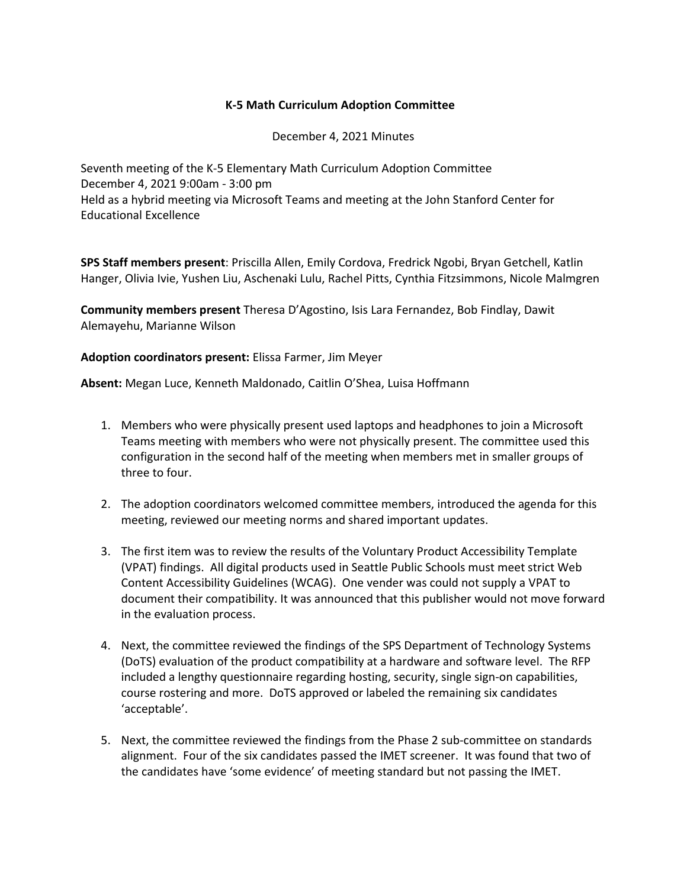## **K-5 Math Curriculum Adoption Committee**

December 4, 2021 Minutes

Seventh meeting of the K-5 Elementary Math Curriculum Adoption Committee December 4, 2021 9:00am - 3:00 pm Held as a hybrid meeting via Microsoft Teams and meeting at the John Stanford Center for Educational Excellence

**SPS Staff members present**: Priscilla Allen, Emily Cordova, Fredrick Ngobi, Bryan Getchell, Katlin Hanger, Olivia Ivie, Yushen Liu, Aschenaki Lulu, Rachel Pitts, Cynthia Fitzsimmons, Nicole Malmgren

**Community members present** Theresa D'Agostino, Isis Lara Fernandez, Bob Findlay, Dawit Alemayehu, Marianne Wilson

## **Adoption coordinators present:** Elissa Farmer, Jim Meyer

**Absent:** Megan Luce, Kenneth Maldonado, Caitlin O'Shea, Luisa Hoffmann

- 1. Members who were physically present used laptops and headphones to join a Microsoft Teams meeting with members who were not physically present. The committee used this configuration in the second half of the meeting when members met in smaller groups of three to four.
- 2. The adoption coordinators welcomed committee members, introduced the agenda for this meeting, reviewed our meeting norms and shared important updates.
- 3. The first item was to review the results of the Voluntary Product Accessibility Template (VPAT) findings. All digital products used in Seattle Public Schools must meet strict Web Content Accessibility Guidelines (WCAG). One vender was could not supply a VPAT to document their compatibility. It was announced that this publisher would not move forward in the evaluation process.
- 4. Next, the committee reviewed the findings of the SPS Department of Technology Systems (DoTS) evaluation of the product compatibility at a hardware and software level. The RFP included a lengthy questionnaire regarding hosting, security, single sign-on capabilities, course rostering and more. DoTS approved or labeled the remaining six candidates 'acceptable'.
- 5. Next, the committee reviewed the findings from the Phase 2 sub-committee on standards alignment. Four of the six candidates passed the IMET screener. It was found that two of the candidates have 'some evidence' of meeting standard but not passing the IMET.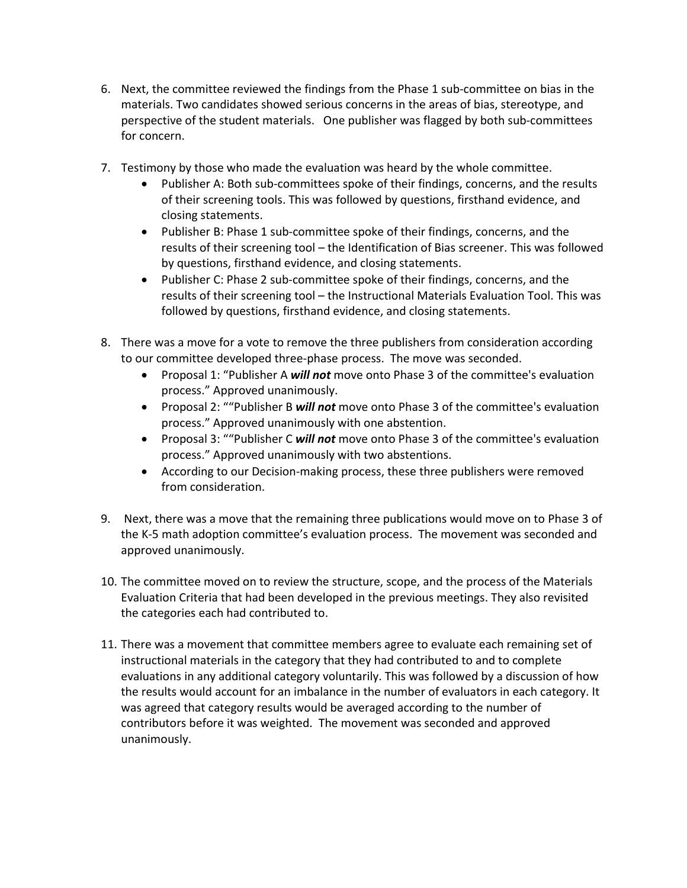- 6. Next, the committee reviewed the findings from the Phase 1 sub-committee on bias in the materials. Two candidates showed serious concerns in the areas of bias, stereotype, and perspective of the student materials. One publisher was flagged by both sub-committees for concern.
- 7. Testimony by those who made the evaluation was heard by the whole committee.
	- Publisher A: Both sub-committees spoke of their findings, concerns, and the results of their screening tools. This was followed by questions, firsthand evidence, and closing statements.
	- Publisher B: Phase 1 sub-committee spoke of their findings, concerns, and the results of their screening tool – the Identification of Bias screener. This was followed by questions, firsthand evidence, and closing statements.
	- Publisher C: Phase 2 sub-committee spoke of their findings, concerns, and the results of their screening tool – the Instructional Materials Evaluation Tool. This was followed by questions, firsthand evidence, and closing statements.
- 8. There was a move for a vote to remove the three publishers from consideration according to our committee developed three-phase process. The move was seconded.
	- Proposal 1: "Publisher A *will not* move onto Phase 3 of the committee's evaluation process." Approved unanimously.
	- Proposal 2: ""Publisher B *will not* move onto Phase 3 of the committee's evaluation process." Approved unanimously with one abstention.
	- Proposal 3: ""Publisher C *will not* move onto Phase 3 of the committee's evaluation process." Approved unanimously with two abstentions.
	- According to our Decision-making process, these three publishers were removed from consideration.
- 9. Next, there was a move that the remaining three publications would move on to Phase 3 of the K-5 math adoption committee's evaluation process. The movement was seconded and approved unanimously.
- 10. The committee moved on to review the structure, scope, and the process of the Materials Evaluation Criteria that had been developed in the previous meetings. They also revisited the categories each had contributed to.
- 11. There was a movement that committee members agree to evaluate each remaining set of instructional materials in the category that they had contributed to and to complete evaluations in any additional category voluntarily. This was followed by a discussion of how the results would account for an imbalance in the number of evaluators in each category. It was agreed that category results would be averaged according to the number of contributors before it was weighted. The movement was seconded and approved unanimously.